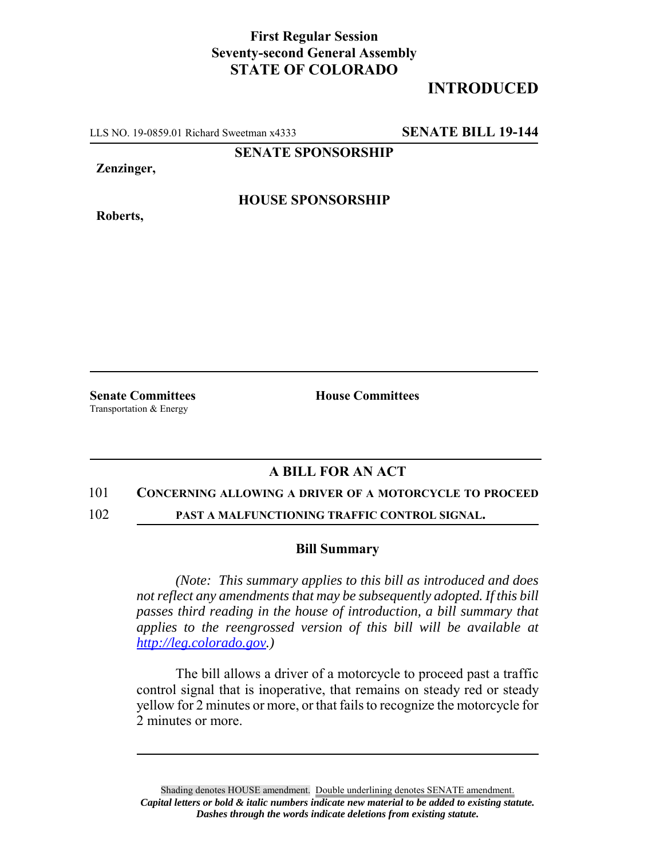## **First Regular Session Seventy-second General Assembly STATE OF COLORADO**

# **INTRODUCED**

LLS NO. 19-0859.01 Richard Sweetman x4333 **SENATE BILL 19-144**

**SENATE SPONSORSHIP**

**Zenzinger,**

**HOUSE SPONSORSHIP**

**Roberts,**

Transportation & Energy

**Senate Committees House Committees** 

### **A BILL FOR AN ACT**

#### 101 **CONCERNING ALLOWING A DRIVER OF A MOTORCYCLE TO PROCEED**

102 **PAST A MALFUNCTIONING TRAFFIC CONTROL SIGNAL.**

#### **Bill Summary**

*(Note: This summary applies to this bill as introduced and does not reflect any amendments that may be subsequently adopted. If this bill passes third reading in the house of introduction, a bill summary that applies to the reengrossed version of this bill will be available at http://leg.colorado.gov.)*

The bill allows a driver of a motorcycle to proceed past a traffic control signal that is inoperative, that remains on steady red or steady yellow for 2 minutes or more, or that fails to recognize the motorcycle for 2 minutes or more.

Shading denotes HOUSE amendment. Double underlining denotes SENATE amendment. *Capital letters or bold & italic numbers indicate new material to be added to existing statute. Dashes through the words indicate deletions from existing statute.*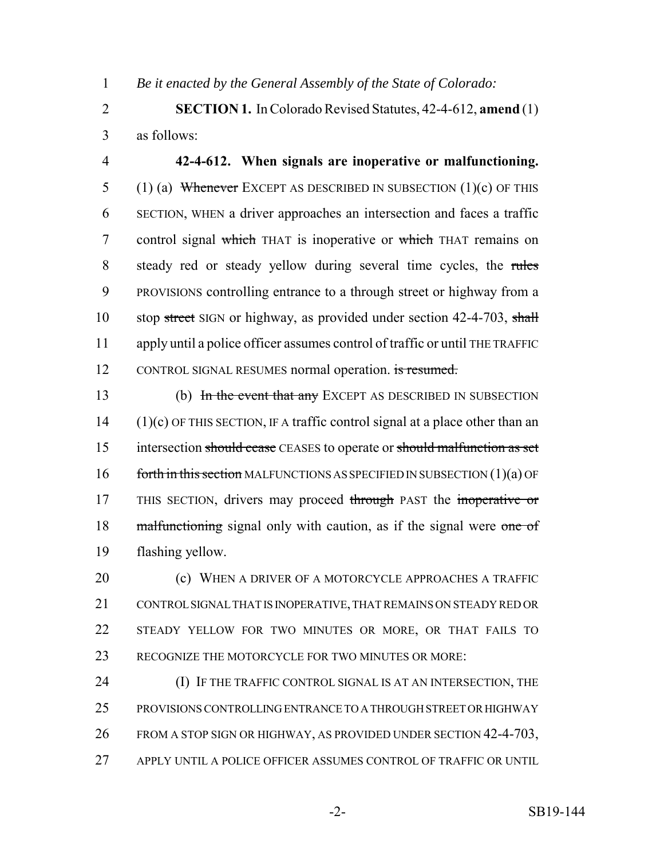1 *Be it enacted by the General Assembly of the State of Colorado:*

2 **SECTION 1.** In Colorado Revised Statutes, 42-4-612, **amend** (1) 3 as follows:

4 **42-4-612. When signals are inoperative or malfunctioning.** 5 (1) (a) Whenever EXCEPT AS DESCRIBED IN SUBSECTION  $(1)(c)$  OF THIS 6 SECTION, WHEN a driver approaches an intersection and faces a traffic 7 control signal which THAT is inoperative or which THAT remains on 8 steady red or steady yellow during several time cycles, the rules 9 PROVISIONS controlling entrance to a through street or highway from a 10 stop street SIGN or highway, as provided under section 42-4-703, shall 11 apply until a police officer assumes control of traffic or until THE TRAFFIC 12 CONTROL SIGNAL RESUMES normal operation. is resumed.

13 (b) In the event that any EXCEPT AS DESCRIBED IN SUBSECTION  $14$  (1)(c) OF THIS SECTION, IF A traffic control signal at a place other than an 15 intersection should cease CEASES to operate or should malfunction as set 16 forth in this section MALFUNCTIONS AS SPECIFIED IN SUBSECTION  $(1)(a)$  OF 17 THIS SECTION, drivers may proceed through PAST the inoperative or 18 malfunctioning signal only with caution, as if the signal were one of 19 flashing yellow.

**(c) WHEN A DRIVER OF A MOTORCYCLE APPROACHES A TRAFFIC**  CONTROL SIGNAL THAT IS INOPERATIVE, THAT REMAINS ON STEADY RED OR STEADY YELLOW FOR TWO MINUTES OR MORE, OR THAT FAILS TO RECOGNIZE THE MOTORCYCLE FOR TWO MINUTES OR MORE:

**(I) IF THE TRAFFIC CONTROL SIGNAL IS AT AN INTERSECTION, THE**  PROVISIONS CONTROLLING ENTRANCE TO A THROUGH STREET OR HIGHWAY 26 FROM A STOP SIGN OR HIGHWAY, AS PROVIDED UNDER SECTION 42-4-703, APPLY UNTIL A POLICE OFFICER ASSUMES CONTROL OF TRAFFIC OR UNTIL